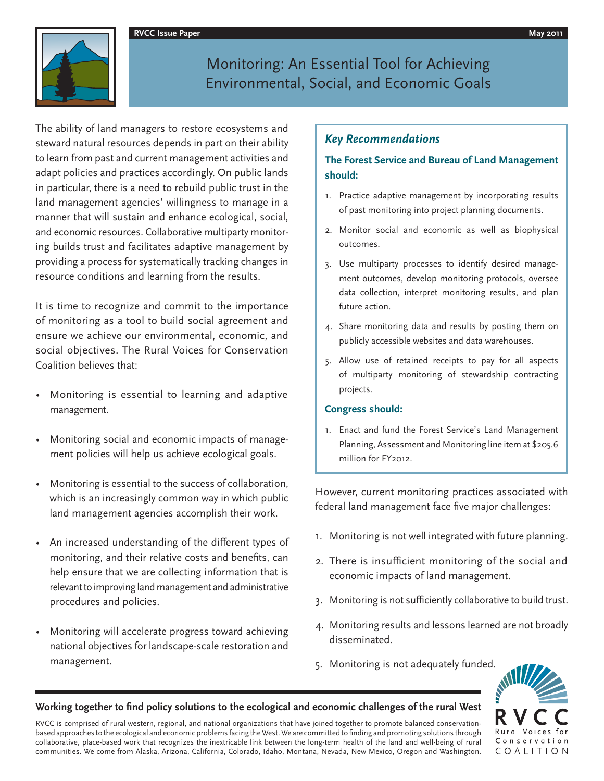#### **RVCC Issue Paper May 2011**



# Monitoring: An Essential Tool for Achieving Environmental, Social, and Economic Goals

The ability of land managers to restore ecosystems and steward natural resources depends in part on their ability to learn from past and current management activities and adapt policies and practices accordingly. On public lands in particular, there is a need to rebuild public trust in the land management agencies' willingness to manage in a manner that will sustain and enhance ecological, social, and economic resources. Collaborative multiparty monitoring builds trust and facilitates adaptive management by providing a process for systematically tracking changes in resource conditions and learning from the results.

It is time to recognize and commit to the importance of monitoring as a tool to build social agreement and ensure we achieve our environmental, economic, and social objectives. The Rural Voices for Conservation Coalition believes that:

- Monitoring is essential to learning and adaptive management.
- Monitoring social and economic impacts of management policies will help us achieve ecological goals.
- Monitoring is essential to the success of collaboration, which is an increasingly common way in which public land management agencies accomplish their work.
- An increased understanding of the different types of monitoring, and their relative costs and benefits, can help ensure that we are collecting information that is relevant to improving land management and administrative procedures and policies.
- Monitoring will accelerate progress toward achieving national objectives for landscape-scale restoration and management.

### *Key Recommendations*

### **The Forest Service and Bureau of Land Management should:**

- 1. Practice adaptive management by incorporating results of past monitoring into project planning documents.
- 2. Monitor social and economic as well as biophysical outcomes.
- 3. Use multiparty processes to identify desired management outcomes, develop monitoring protocols, oversee data collection, interpret monitoring results, and plan future action.
- 4. Share monitoring data and results by posting them on publicly accessible websites and data warehouses.
- 5. Allow use of retained receipts to pay for all aspects of multiparty monitoring of stewardship contracting projects.

#### **Congress should:**

1. Enact and fund the Forest Service's Land Management Planning, Assessment and Monitoring line item at \$205.6 million for FY2012.

However, current monitoring practices associated with federal land management face five major challenges:

- 1. Monitoring is not well integrated with future planning.
- 2. There is insufficient monitoring of the social and economic impacts of land management.
- 3. Monitoring is not sufficiently collaborative to build trust.
- 4. Monitoring results and lessons learned are not broadly disseminated.
- 5. Monitoring is not adequately funded.



#### Working together to find policy solutions to the ecological and economic challenges of the rural West

RVCC is comprised of rural western, regional, and national organizations that have joined together to promote balanced conservationbased approaches to the ecological and economic problems facing the West. We are committed to finding and promoting solutions through collaborative, place-based work that recognizes the inextricable link between the long-term health of the land and well-being of rural communities. We come from Alaska, Arizona, California, Colorado, Idaho, Montana, Nevada, New Mexico, Oregon and Washington.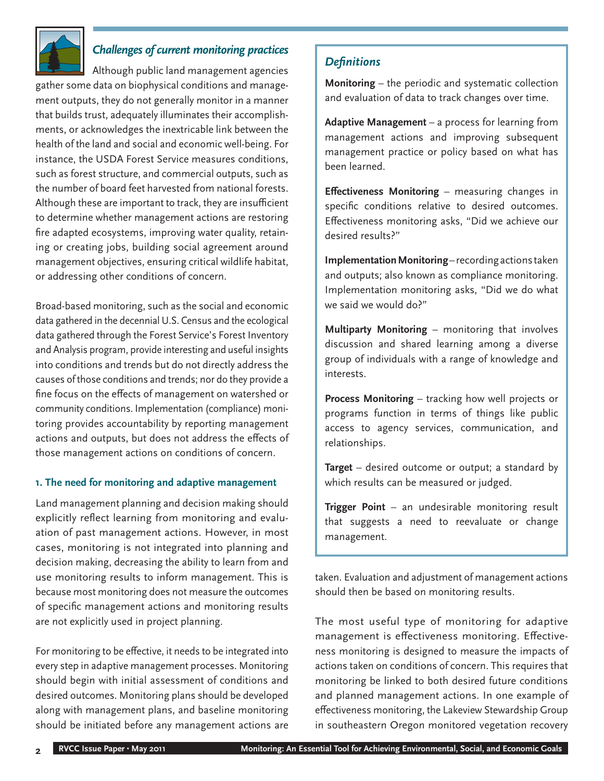

## *Challenges of current monitoring practices*

Although public land management agencies gather some data on biophysical conditions and management outputs, they do not generally monitor in a manner that builds trust, adequately illuminates their accomplishments, or acknowledges the inextricable link between the health of the land and social and economic well-being. For instance, the USDA Forest Service measures conditions, such as forest structure, and commercial outputs, such as the number of board feet harvested from national forests. Although these are important to track, they are insufficient to determine whether management actions are restoring fire adapted ecosystems, improving water quality, retaining or creating jobs, building social agreement around management objectives, ensuring critical wildlife habitat, or addressing other conditions of concern.

Broad-based monitoring, such as the social and economic data gathered in the decennial U.S. Census and the ecological data gathered through the Forest Service's Forest Inventory and Analysis program, provide interesting and useful insights into conditions and trends but do not directly address the causes of those conditions and trends; nor do they provide a fine focus on the effects of management on watershed or community conditions. Implementation (compliance) monitoring provides accountability by reporting management actions and outputs, but does not address the effects of those management actions on conditions of concern.

### **1. The need for monitoring and adaptive management**

Land management planning and decision making should explicitly reflect learning from monitoring and evaluation of past management actions. However, in most cases, monitoring is not integrated into planning and decision making, decreasing the ability to learn from and use monitoring results to inform management. This is because most monitoring does not measure the outcomes of specific management actions and monitoring results are not explicitly used in project planning.

For monitoring to be effective, it needs to be integrated into every step in adaptive management processes. Monitoring should begin with initial assessment of conditions and desired outcomes. Monitoring plans should be developed along with management plans, and baseline monitoring should be initiated before any management actions are

### *Defi nitions*

**Monitoring** – the periodic and systematic collection and evaluation of data to track changes over time.

**Adaptive Management** – a process for learning from management actions and improving subsequent management practice or policy based on what has been learned.

**Effectiveness Monitoring** – measuring changes in specific conditions relative to desired outcomes. Effectiveness monitoring asks, "Did we achieve our desired results?"

**Implementation Monitoring** – recording actions taken and outputs; also known as compliance monitoring. Implementation monitoring asks, "Did we do what we said we would do?"

**Multiparty Monitoring** – monitoring that involves discussion and shared learning among a diverse group of individuals with a range of knowledge and interests.

**Process Monitoring** – tracking how well projects or programs function in terms of things like public access to agency services, communication, and relationships.

**Target** – desired outcome or output; a standard by which results can be measured or judged.

**Trigger Point** – an undesirable monitoring result that suggests a need to reevaluate or change management.

taken. Evaluation and adjustment of management actions should then be based on monitoring results.

The most useful type of monitoring for adaptive management is effectiveness monitoring. Effectiveness monitoring is designed to measure the impacts of actions taken on conditions of concern. This requires that monitoring be linked to both desired future conditions and planned management actions. In one example of effectiveness monitoring, the Lakeview Stewardship Group in southeastern Oregon monitored vegetation recovery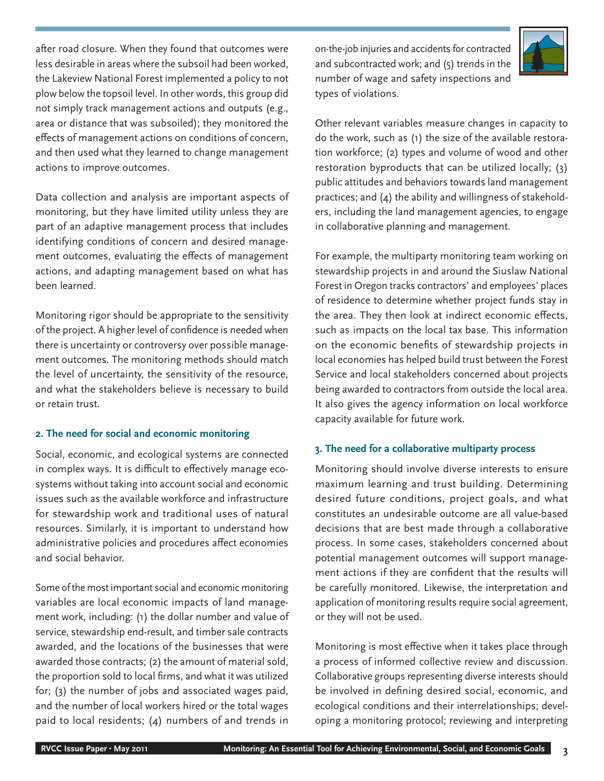after road closure. When they found that outcomes were less desirable in areas where the subsoil had been worked, the Lakeview National Forest implemented a policy to not plow below the topsoil level. In other words, this group did not simply track management actions and outputs (e.g., area or distance that was subsoiled); they monitored the effects of management actions on conditions of concern, and then used what they learned to change management actions to improve outcomes.

Data collection and analysis are important aspects of monitoring, but they have limited utility unless they are part of an adaptive management process that includes identifying conditions of concern and desired management outcomes, evaluating the effects of management actions, and adapting management based on what has been learned.

Monitoring rigor should be appropriate to the sensitivity of the project. A higher level of confidence is needed when there is uncertainty or controversy over possible management outcomes. The monitoring methods should match the level of uncertainty, the sensitivity of the resource, and what the stakeholders believe is necessary to build or retain trust.

### **2. The need for social and economic monitoring**

Social, economic, and ecological systems are connected in complex ways. It is difficult to effectively manage ecosystems without taking into account social and economic issues such as the available workforce and infrastructure for stewardship work and traditional uses of natural resources. Similarly, it is important to understand how administrative policies and procedures affect economies and social behavior.

Some of the most important social and economic monitoring variables are local economic impacts of land management work, including: (1) the dollar number and value of service, stewardship end-result, and timber sale contracts awarded, and the locations of the businesses that were awarded those contracts; (2) the amount of material sold, the proportion sold to local firms, and what it was utilized for; (3) the number of jobs and associated wages paid, and the number of local workers hired or the total wages paid to local residents; (4) numbers of and trends in

on-the-job injuries and accidents for contracted and subcontracted work; and (5) trends in the number of wage and safety inspections and types of violations.



Other relevant variables measure changes in capacity to do the work, such as (1) the size of the available restoration workforce; (2) types and volume of wood and other restoration byproducts that can be utilized locally; (3) public attitudes and behaviors towards land management practices; and (4) the ability and willingness of stakeholders, including the land management agencies, to engage in collaborative planning and management.

For example, the multiparty monitoring team working on stewardship projects in and around the Siuslaw National Forest in Oregon tracks contractors' and employees' places of residence to determine whether project funds stay in the area. They then look at indirect economic effects, such as impacts on the local tax base. This information on the economic benefits of stewardship projects in local economies has helped build trust between the Forest Service and local stakeholders concerned about projects being awarded to contractors from outside the local area. It also gives the agency information on local workforce capacity available for future work.

### **3. The need for a collaborative multiparty process**

Monitoring should involve diverse interests to ensure maximum learning and trust building. Determining desired future conditions, project goals, and what constitutes an undesirable outcome are all value-based decisions that are best made through a collaborative process. In some cases, stakeholders concerned about potential management outcomes will support management actions if they are confident that the results will be carefully monitored. Likewise, the interpretation and application of monitoring results require social agreement, or they will not be used.

Monitoring is most effective when it takes place through a process of informed collective review and discussion. Collaborative groups representing diverse interests should be involved in defining desired social, economic, and ecological conditions and their interrelationships; developing a monitoring protocol; reviewing and interpreting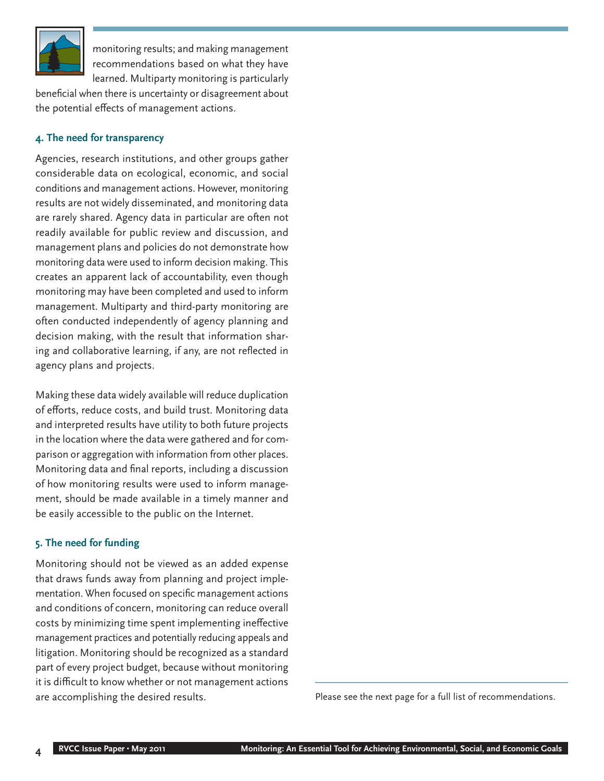

monitoring results; and making management recommendations based on what they have learned. Multiparty monitoring is particularly

beneficial when there is uncertainty or disagreement about the potential effects of management actions.

### **4. The need for transparency**

Agencies, research institutions, and other groups gather considerable data on ecological, economic, and social conditions and management actions. However, monitoring results are not widely disseminated, and monitoring data are rarely shared. Agency data in particular are often not readily available for public review and discussion, and management plans and policies do not demonstrate how monitoring data were used to inform decision making. This creates an apparent lack of accountability, even though monitoring may have been completed and used to inform management. Multiparty and third-party monitoring are often conducted independently of agency planning and decision making, with the result that information sharing and collaborative learning, if any, are not reflected in agency plans and projects.

Making these data widely available will reduce duplication of efforts, reduce costs, and build trust. Monitoring data and interpreted results have utility to both future projects in the location where the data were gathered and for comparison or aggregation with information from other places. Monitoring data and final reports, including a discussion of how monitoring results were used to inform management, should be made available in a timely manner and be easily accessible to the public on the Internet.

### **5. The need for funding**

Monitoring should not be viewed as an added expense that draws funds away from planning and project implementation. When focused on specific management actions and conditions of concern, monitoring can reduce overall costs by minimizing time spent implementing ineffective management practices and potentially reducing appeals and litigation. Monitoring should be recognized as a standard part of every project budget, because without monitoring it is difficult to know whether or not management actions are accomplishing the desired results. The summer sees the next page for a full list of recommendations.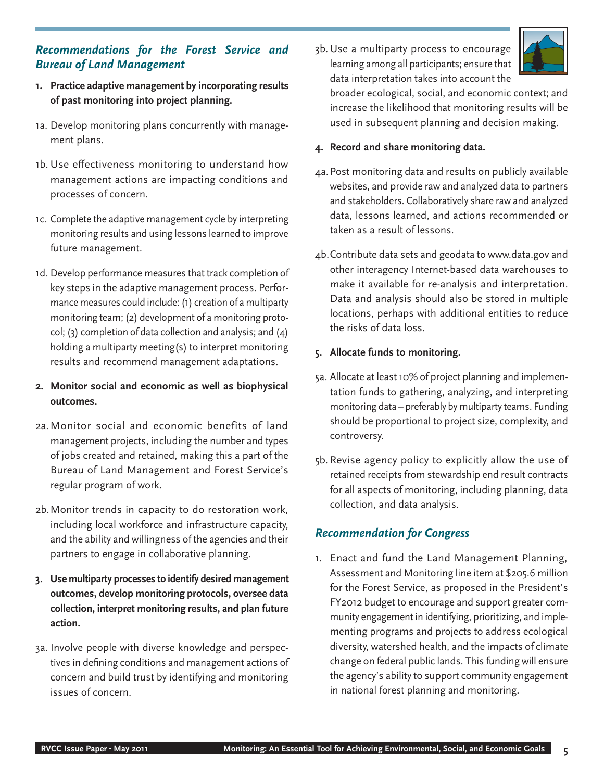### *Recommendations for the Forest Service and Bureau of Land Management*

- **1. Practice adaptive management by incorporating results of past monitoring into project planning.**
- 1a. Develop monitoring plans concurrently with management plans.
- 1b. Use effectiveness monitoring to understand how management actions are impacting conditions and processes of concern.
- 1c. Complete the adaptive management cycle by interpreting monitoring results and using lessons learned to improve future management.
- 1d. Develop performance measures that track completion of key steps in the adaptive management process. Performance measures could include: (1) creation of a multiparty monitoring team; (2) development of a monitoring protocol; (3) completion of data collection and analysis; and (4) holding a multiparty meeting(s) to interpret monitoring results and recommend management adaptations.
- **2. Monitor social and economic as well as biophysical outcomes.**
- 2a. Monitor social and economic benefits of land management projects, including the number and types of jobs created and retained, making this a part of the Bureau of Land Management and Forest Service's regular program of work.
- 2b. Monitor trends in capacity to do restoration work, including local workforce and infrastructure capacity, and the ability and willingness of the agencies and their partners to engage in collaborative planning.
- **3. Use multiparty processes to identify desired management outcomes, develop monitoring protocols, oversee data collection, interpret monitoring results, and plan future action.**
- 3a. Involve people with diverse knowledge and perspectives in defining conditions and management actions of concern and build trust by identifying and monitoring issues of concern.

3b. Use a multiparty process to encourage learning among all participants; ensure that data interpretation takes into account the



broader ecological, social, and economic context; and increase the likelihood that monitoring results will be used in subsequent planning and decision making.

### **4. Record and share monitoring data.**

- 4a. Post monitoring data and results on publicly available websites, and provide raw and analyzed data to partners and stakeholders. Collaboratively share raw and analyzed data, lessons learned, and actions recommended or taken as a result of lessons.
- 4b. Contribute data sets and geodata to www.data.gov and other interagency Internet-based data warehouses to make it available for re-analysis and interpretation. Data and analysis should also be stored in multiple locations, perhaps with additional entities to reduce the risks of data loss.

### **5. Allocate funds to monitoring.**

- 5a. Allocate at least 10% of project planning and implementation funds to gathering, analyzing, and interpreting monitoring data – preferably by multiparty teams. Funding should be proportional to project size, complexity, and controversy.
- 5b. Revise agency policy to explicitly allow the use of retained receipts from stewardship end result contracts for all aspects of monitoring, including planning, data collection, and data analysis.

### *Recommendation for Congress*

1. Enact and fund the Land Management Planning, Assessment and Monitoring line item at \$205.6 million for the Forest Service, as proposed in the President's FY2012 budget to encourage and support greater community engagement in identifying, prioritizing, and implementing programs and projects to address ecological diversity, watershed health, and the impacts of climate change on federal public lands. This funding will ensure the agency's ability to support community engagement in national forest planning and monitoring.